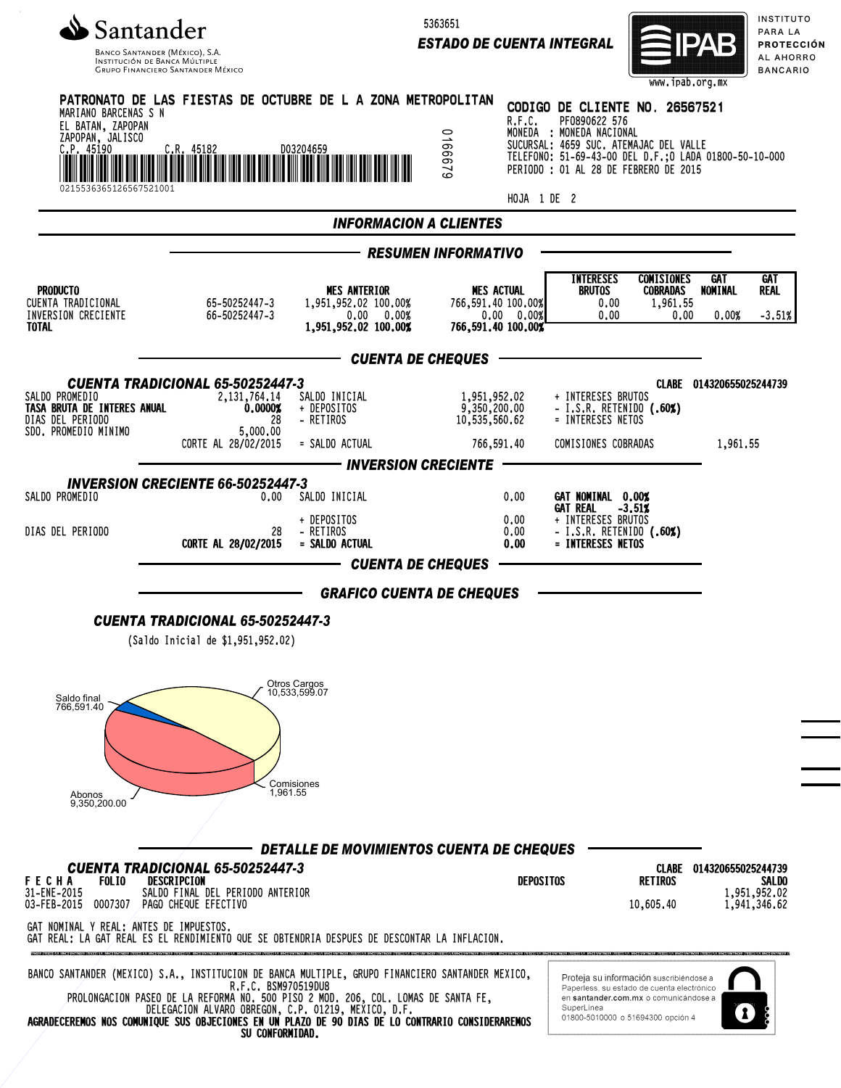

5363651

*ESTADO DE CUENTA INTEGRAL*



INSTITUTO PARA LA **PROTECCIÓN** AL AHORRO **BANCARIO** 

|                                                                                                                                                                                                        |                                                                                         |                                                                                                                                          |                                                                             |                                                                                                             | www.ipab.org.mx                                                                                                                                                                                                          |                          |                                       |
|--------------------------------------------------------------------------------------------------------------------------------------------------------------------------------------------------------|-----------------------------------------------------------------------------------------|------------------------------------------------------------------------------------------------------------------------------------------|-----------------------------------------------------------------------------|-------------------------------------------------------------------------------------------------------------|--------------------------------------------------------------------------------------------------------------------------------------------------------------------------------------------------------------------------|--------------------------|---------------------------------------|
| PATRONATO DE LAS FIESTAS DE OCTUBRE DE L A ZONA METROPOLITAN<br>MARIANO BARCENAS S N<br>EL BATAN, ZAPOPAN<br>ZAPOPAN, JALISCO<br>C.P. 45190<br>  III   II   II      <br><b>FREE 45182</b><br>D03204659 |                                                                                         |                                                                                                                                          | R.F.C.<br>0166679                                                           |                                                                                                             | CODIGO DE CLIENTE NO. 26567521<br>PF0890622 576<br>MONEDA : MONEDA NACIONAL<br>SUCURSAL: 4659 SUC. ATEMAJAC DEL VALLE<br>TELEFONO: 51-69-43-00 DEL D.F.; 0 LADA 01800-50-10-000<br>PERIODO : 01 AL 28 DE FEBRERO DE 2015 |                          |                                       |
| 0215536365126567521001                                                                                                                                                                                 |                                                                                         |                                                                                                                                          |                                                                             | HOJA 1 DE 2                                                                                                 |                                                                                                                                                                                                                          |                          |                                       |
|                                                                                                                                                                                                        |                                                                                         | <b>INFORMACION A CLIENTES</b>                                                                                                            |                                                                             |                                                                                                             |                                                                                                                                                                                                                          |                          |                                       |
|                                                                                                                                                                                                        |                                                                                         |                                                                                                                                          | <b>RESUMEN INFORMATIVO</b>                                                  |                                                                                                             |                                                                                                                                                                                                                          |                          |                                       |
| <b>PRODUCTO</b><br>CUENTA TRADICIONAL<br>INVERSION CRECIENTE<br><b>TOTAL</b>                                                                                                                           | 65-50252447-3<br>66-50252447-3                                                          | <b>MES ANTERIOR</b><br>1,951,952.02 100.00%<br>0.00 0.00%<br>1,951,952.02 100.00%                                                        | <b>MES ACTUAL</b><br>766,591.40 100.00%<br>0.00 0.00%<br>766,591,40 100,00% | <b>INTERESES</b><br>BRUTOS<br>0.00<br>0.00                                                                  | <b>COMISIONES</b><br>COBRADAS<br>1,961.55<br>0.00                                                                                                                                                                        | GAT.<br>NOMINAL<br>0.00% | <b>GAT</b><br>REAL<br>$-3.51%$        |
|                                                                                                                                                                                                        |                                                                                         | <b>CUENTA DE CHEQUES</b>                                                                                                                 |                                                                             |                                                                                                             |                                                                                                                                                                                                                          |                          |                                       |
| SALDO PROMEDIO<br>TASA BRUTA DE INTERES ANUAL<br>DIAS DEL PERIODO<br>SDO. PROMEDIO MINIMO                                                                                                              | <b>CUENTA TRADICIONAL 65-50252447-3</b><br>2, 131, 764, 14<br>0.0000%<br>28<br>5.000.00 | SALDO INICIAL<br>+ DEPOSITOS<br>- RETIROS                                                                                                | 1,951,952.02<br>9,350,200.00<br>10,535,560.62                               | + INTERESES BRUTOS<br>- I.S.R. RETENIDO (.60%)<br>= INTERESES NETOS                                         |                                                                                                                                                                                                                          | CLABE 014320655025244739 |                                       |
|                                                                                                                                                                                                        | CORTE AL 28/02/2015                                                                     | = SALDO ACTUAL<br>– INVERSION CRECIENTE                                                                                                  | 766,591.40                                                                  | COMISIONES COBRADAS                                                                                         |                                                                                                                                                                                                                          | 1,961.55                 |                                       |
| SALDO PROMEDIO<br>DIAS DEL PERIODO                                                                                                                                                                     | <b>INVERSION CRECIENTE 66-50252447-3</b><br>0.00<br>28                                  | SALDO INICIAL<br>+ DEPOSITOS<br>- RETIROS                                                                                                | 0.00<br>0.00<br>0.00                                                        | GAT NOMINAL 0.00%<br><b>GAT REAL</b><br>+ INTERESES BRUTOS<br>- I.S.R. RETENIDO (.60%)<br>= INTERESES NETOS | $-3.512$                                                                                                                                                                                                                 |                          |                                       |
|                                                                                                                                                                                                        | CORTE AL 28/02/2015                                                                     | = SALDO ACTUAL<br><b>CUENTA DE CHEQUES</b>                                                                                               | 0.00                                                                        |                                                                                                             |                                                                                                                                                                                                                          |                          |                                       |
|                                                                                                                                                                                                        |                                                                                         | <b>GRAFICO CUENTA DE CHEQUES</b>                                                                                                         |                                                                             |                                                                                                             |                                                                                                                                                                                                                          |                          |                                       |
|                                                                                                                                                                                                        | <b>CUENTA TRADICIONAL 65-50252447-3</b><br>(Saldo Inicial de \$1,951,952.02)            |                                                                                                                                          |                                                                             |                                                                                                             |                                                                                                                                                                                                                          |                          |                                       |
| Saldo final<br>766,591.40<br>Abonos<br>9,350,200.00                                                                                                                                                    | 1,961.55                                                                                | Otros Cargos<br>10,533,599.07<br>Comisiones                                                                                              |                                                                             |                                                                                                             |                                                                                                                                                                                                                          |                          |                                       |
|                                                                                                                                                                                                        | <b>CUENTA TRADICIONAL 65-50252447-3</b>                                                 | DETALLE DE MOVIMIENTOS CUENTA DE CHEQUES                                                                                                 |                                                                             |                                                                                                             |                                                                                                                                                                                                                          | CLABE 014320655025244739 |                                       |
| <b>FOLIO</b><br><b>FECHA</b><br>31-ENE-2015<br>03-FEB-2015<br>0007307                                                                                                                                  | DESCRIPCION<br>SALDO FINAL DEL PERIODO ANTERIOR<br>PAGO CHEQUE EFECTIVO                 |                                                                                                                                          |                                                                             | <b>DEPOSITOS</b>                                                                                            | <b>RETIROS</b><br>10,605.40                                                                                                                                                                                              |                          | SALDO<br>1,951,952.02<br>1,941,346.62 |
| GAT NOMINAL Y REAL: ANTES DE IMPUESTOS.<br>GAT REAL: LA GAT REAL ES EL RENDIMIENTO QUE SE OBTENDRIA DESPUES DE DESCONTAR LA INFLACION.                                                                 |                                                                                         |                                                                                                                                          |                                                                             |                                                                                                             |                                                                                                                                                                                                                          |                          |                                       |
| BANCO SANTANDER (MEXICO) S.A., INSTITUCION DE BANCA MULTIPLE, GRUPO FINANCIERO SANTANDER MEXICO,<br>AGRADECEREMOS NOS COMUNIQUE SUS OBJECIONES EN UN PLAZO DE 90 DIAS DE LO CONTRARIO CONSIDERAREMOS   | R.F.C. BSM970519DU8<br>SU CONFORMIDAD.                                                  | PROLONGACION PASEO DE LA REFORMA NO. 500 PISO 2 MOD. 206, COL. LOMAS DE SANTA FE,<br>DELEGACION ALVARO OBREGON, C.P. 01219, MEXICO, D.F. |                                                                             | SuperLinea                                                                                                  | Proteja su información suscribiendose a<br>Paperless, su estado de cuenta electrónico<br>en santander.com.mx o comunicándose a<br>01800-5010000 o 51694300 opción 4                                                      |                          |                                       |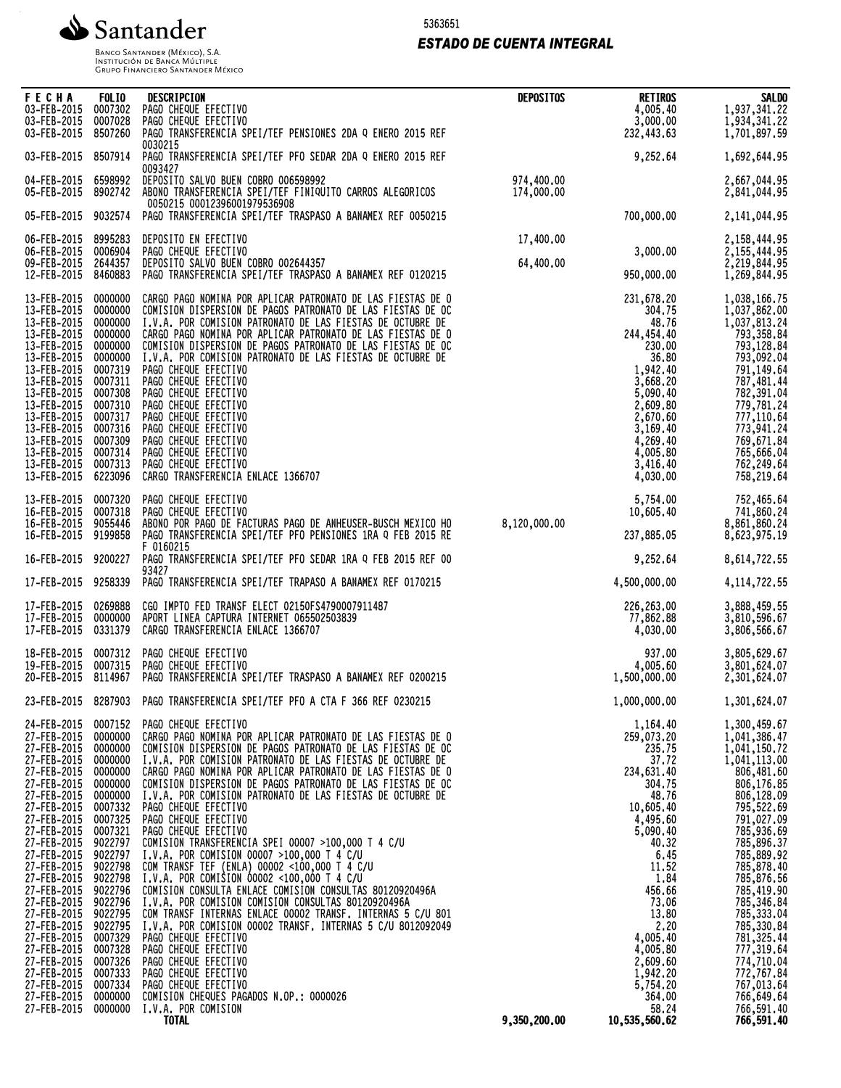

5363651

## *ESTADO DE CUENTA INTEGRAL*

Banco Santander (México), S.A.<br>Institución de Banca Múltiple<br>Grupo Financiero Santander México

| <b>FECHA</b><br>03-FEB-2015<br>03-FEB-2015<br>03-FEB-2015                                                                                                                                                                                                                                                                                                                           | <b>FOLIO</b><br>0007302<br>0007028<br>8507260                                                                                                                                                                                                                                   | DESCRIPCION<br>PAGO CHEQUE EFECTIVO<br>PAGO CHEQUE EFECTIVO<br>PAGO TRANSFERENCIA SPEI/TEF PENSIONES 2DA Q ENERO 2015 REF                                                                                                                                                                                                                                                                                                                                                                                                                                                                                                                                                                                                                                                                                                                                                                                                                                                                                                                                                                                                           | <b>DEPOSITOS</b>         | <b>RETIROS</b><br>4,005.40<br>3,000.00<br>232,443.63                                                                                                                                                                                                                 | <b>SALDO</b><br>1,937,341.22<br>1,934,341.22<br>1,701,897.59                                                                                                                                                                                                                                                                                                         |
|-------------------------------------------------------------------------------------------------------------------------------------------------------------------------------------------------------------------------------------------------------------------------------------------------------------------------------------------------------------------------------------|---------------------------------------------------------------------------------------------------------------------------------------------------------------------------------------------------------------------------------------------------------------------------------|-------------------------------------------------------------------------------------------------------------------------------------------------------------------------------------------------------------------------------------------------------------------------------------------------------------------------------------------------------------------------------------------------------------------------------------------------------------------------------------------------------------------------------------------------------------------------------------------------------------------------------------------------------------------------------------------------------------------------------------------------------------------------------------------------------------------------------------------------------------------------------------------------------------------------------------------------------------------------------------------------------------------------------------------------------------------------------------------------------------------------------------|--------------------------|----------------------------------------------------------------------------------------------------------------------------------------------------------------------------------------------------------------------------------------------------------------------|----------------------------------------------------------------------------------------------------------------------------------------------------------------------------------------------------------------------------------------------------------------------------------------------------------------------------------------------------------------------|
| 03-FEB-2015                                                                                                                                                                                                                                                                                                                                                                         | 8507914                                                                                                                                                                                                                                                                         | 0030215<br>PAGO TRANSFERENCIA SPEI/TEF PFO SEDAR 2DA Q ENERO 2015 REF                                                                                                                                                                                                                                                                                                                                                                                                                                                                                                                                                                                                                                                                                                                                                                                                                                                                                                                                                                                                                                                               |                          | 9,252.64                                                                                                                                                                                                                                                             | 1,692,644.95                                                                                                                                                                                                                                                                                                                                                         |
| 04-FEB-2015<br>05-FEB-2015                                                                                                                                                                                                                                                                                                                                                          | 6598992<br>8902742                                                                                                                                                                                                                                                              | 0093427<br>DEPOSITO SALVO BUEN COBRO 006598992<br>ABONO TRANSFERENCIA SPEI/TEF FINIQUITO CARROS ALEGORICOS<br>0050215 00012396001979536908                                                                                                                                                                                                                                                                                                                                                                                                                                                                                                                                                                                                                                                                                                                                                                                                                                                                                                                                                                                          | 974,400.00<br>174,000.00 |                                                                                                                                                                                                                                                                      | 2,667,044.95<br>2,841,044.95                                                                                                                                                                                                                                                                                                                                         |
| 05-FEB-2015                                                                                                                                                                                                                                                                                                                                                                         | 9032574                                                                                                                                                                                                                                                                         | PAGO TRANSFERENCIA SPEI/TEF TRASPASO A BANAMEX REF 0050215                                                                                                                                                                                                                                                                                                                                                                                                                                                                                                                                                                                                                                                                                                                                                                                                                                                                                                                                                                                                                                                                          |                          | 700,000.00                                                                                                                                                                                                                                                           | 2,141,044.95                                                                                                                                                                                                                                                                                                                                                         |
| 06-FEB-2015<br>06-FEB-2015<br>09-FEB-2015<br>12-FEB-2015                                                                                                                                                                                                                                                                                                                            | 8995283<br>0006904<br>2644357<br>8460883                                                                                                                                                                                                                                        | DEPOSITO EN EFECTIVO<br>PAGO CHEQUE EFECTIVO<br>DEPOSITO SALVO BUEN COBRO 002644357<br>PAGO TRANSFERENCIA SPEI/TEF TRASPASO A BANAMEX REF 0120215                                                                                                                                                                                                                                                                                                                                                                                                                                                                                                                                                                                                                                                                                                                                                                                                                                                                                                                                                                                   | 17,400.00<br>64,400.00   | 3,000.00<br>950,000.00                                                                                                                                                                                                                                               | 2,158,444.95<br>2, 155, 444.95<br>2,219,844.95<br>1,269,844.95                                                                                                                                                                                                                                                                                                       |
| 13-FEB-2015<br>13-FEB-2015<br>13-FEB-2015<br>13-FEB-2015<br>13-FEB-2015<br>13-FEB-2015<br>13-FEB-2015<br>13-FEB-2015<br>13-FEB-2015<br>13-FEB-2015<br>13-FEB-2015<br>13-FEB-2015<br>13-FEB-2015<br>13-FEB-2015<br>13-FEB-2015<br>13-FEB-2015                                                                                                                                        | 0000000<br>0000000<br>0000000<br>0000000<br>0000000<br>0000000<br>0007319<br>0007311<br>0007308<br>0007310<br>0007317<br>0007316<br>0007309<br>0007314<br>0007313<br>6223096                                                                                                    | CARGO PAGO NOMINA POR APLICAR PATRONATO DE LAS FIESTAS DE O<br>COMISION DISPERSION DE PAGOS PATRONATO DE LAS FIESTAS DE OC<br>I.V.A. POR COMISION PATRONATO DE LAS FIESTAS DE OCTUBRE DE<br>CARGO PAGO NOMINA POR APLICAR PATRONATO DE LAS FIESTAS DE O<br>COMISION DISPERSION DE PAGOS PATRONATO DE LAS FIESTAS DE OC<br>I.V.A. POR COMISION PATRONATO DE LAS FIESTAS DE OCTUBRE DE<br>PAGO CHEQUE EFECTIVO<br>PAGO CHEQUE EFECTIVO<br>PAGO CHEQUE EFECTIVO<br>PAGO CHEQUE EFECTIVO<br>PAGO CHEQUE EFECTIVO<br>PAGO CHEQUE EFECTIVO<br>PAGO CHEQUE EFECTIVO<br>PAGO CHEQUE EFECTIVO<br>PAGO CHEQUE EFECTIVO<br>CARGO TRANSFERENCIA ENLACE 1366707                                                                                                                                                                                                                                                                                                                                                                                                                                                                                  |                          | 231,678.20<br>304.75<br>48.76<br>244,454.40<br>230.00<br>36.80<br>1,942.40<br>3,668.20<br>5,090.40<br>2,609.80<br>2,670.60<br>3,169.40<br>4,269.40<br>4,005.80<br>3,416.40<br>4,030.00                                                                               | 1,038,166.75<br>1,037,862.00<br>1,037,813.24<br>793,358.84<br>793,128.84<br>793,092.04<br>791,149.64<br>787, 481.44<br>779,781.24<br>777,110.64<br>773,941.24<br>769,671.84<br>765,666.04<br>762,249.64<br>758,219.64                                                                                                                                                |
| 13-FEB-2015<br>16-FEB-2015<br>16-FEB-2015<br>16-FEB-2015                                                                                                                                                                                                                                                                                                                            | 0007320<br>0007318<br>9055446<br>9199858                                                                                                                                                                                                                                        | PAGO CHEQUE EFECTIVO<br>PAGO CHEQUE EFECTIVO<br>ABONO POR PAGO DE FACTURAS PAGO DE ANHEUSER-BUSCH MEXICO HO<br>PAGO TRANSFERENCIA SPEI/TEF PFO PENSIONES 1RA Q FEB 2015 RE<br>F 0160215                                                                                                                                                                                                                                                                                                                                                                                                                                                                                                                                                                                                                                                                                                                                                                                                                                                                                                                                             | 8,120,000.00             | 5,754.00<br>10,605.40<br>237,885.05                                                                                                                                                                                                                                  | 752,465.64<br>741,860.24<br>8,861,860.24<br>8,623,975.19                                                                                                                                                                                                                                                                                                             |
| 16-FEB-2015                                                                                                                                                                                                                                                                                                                                                                         | 9200227                                                                                                                                                                                                                                                                         | PAGO TRANSFERENCIA SPEI/TEF PFO SEDAR 1RA Q FEB 2015 REF 00<br>93427                                                                                                                                                                                                                                                                                                                                                                                                                                                                                                                                                                                                                                                                                                                                                                                                                                                                                                                                                                                                                                                                |                          | 9,252.64                                                                                                                                                                                                                                                             | 8,614,722.55                                                                                                                                                                                                                                                                                                                                                         |
| 17-FEB-2015                                                                                                                                                                                                                                                                                                                                                                         | 9258339                                                                                                                                                                                                                                                                         | PAGO TRANSFERENCIA SPEI/TEF TRAPASO A BANAMEX REF 0170215                                                                                                                                                                                                                                                                                                                                                                                                                                                                                                                                                                                                                                                                                                                                                                                                                                                                                                                                                                                                                                                                           |                          | 4,500,000.00                                                                                                                                                                                                                                                         | 4, 114, 722.55                                                                                                                                                                                                                                                                                                                                                       |
| 17-FEB-2015<br>17-FEB-2015<br>17-FEB-2015                                                                                                                                                                                                                                                                                                                                           | 0269888<br>0000000<br>0331379                                                                                                                                                                                                                                                   | CGO IMPTO FED TRANSF ELECT 02150FS4790007911487<br>APORT LINEA CAPTURA INTERNET 065502503839<br>CARGO TRANSFERENCIA ENLACE 1366707                                                                                                                                                                                                                                                                                                                                                                                                                                                                                                                                                                                                                                                                                                                                                                                                                                                                                                                                                                                                  |                          | 226,263.00<br>77,862.88<br>4,030.00                                                                                                                                                                                                                                  | 3,888,459.55<br>3,810,596.67<br>3,806,566.67                                                                                                                                                                                                                                                                                                                         |
| 18-FEB-2015<br>19-FEB-2015<br>20-FEB-2015                                                                                                                                                                                                                                                                                                                                           | 0007312<br>0007315<br>8114967                                                                                                                                                                                                                                                   | PAGO CHEQUE EFECTIVO<br>PAGO CHEQUE EFECTIVO<br>PAGO TRANSFERENCIA SPEI/TEF TRASPASO A BANAMEX REF 0200215                                                                                                                                                                                                                                                                                                                                                                                                                                                                                                                                                                                                                                                                                                                                                                                                                                                                                                                                                                                                                          |                          | 937,00<br>4,005.60<br>1,500,000.00                                                                                                                                                                                                                                   | 3,805,629.67<br>3,801,624.07<br>2,301,624.07                                                                                                                                                                                                                                                                                                                         |
|                                                                                                                                                                                                                                                                                                                                                                                     |                                                                                                                                                                                                                                                                                 | 23-FEB-2015 8287903 PAGO TRANSFERENCIA SPEI/TEF PFO A CTA F 366 REF 0230215                                                                                                                                                                                                                                                                                                                                                                                                                                                                                                                                                                                                                                                                                                                                                                                                                                                                                                                                                                                                                                                         |                          | 1,000,000.00                                                                                                                                                                                                                                                         | 1,301,624.07                                                                                                                                                                                                                                                                                                                                                         |
| 24-FEB-2015<br>27-FEB-2015<br>27-FEB-2015<br>27-FEB-2015<br>27-FEB-2015<br>27-FEB-2015<br>27-FEB-2015<br>27-FEB-2015<br>27-FEB-2015<br>27-FEB-2015<br>27-FEB-2015<br>27-FEB-2015<br>27-FEB-2015<br>27-FEB-2015<br>27-FEB-2015<br>27-FEB-2015<br>27-FEB-2015<br>27-FEB-2015<br>27-FEB-2015<br>27-FEB-2015<br>27-FEB-2015<br>27-FEB-2015<br>27-FEB-2015<br>27-FEB-2015<br>27-FEB-2015 | 0007152<br>0000000<br>0000000<br>0000000<br>0000000<br>0000000<br>0000000<br>0007332<br>0007325<br>0007321<br>9022797<br>9022797<br>9022798<br>9022798<br>9022796<br>9022796<br>9022795<br>9022795<br>0007329<br>0007328<br>0007326<br>0007333<br>0007334<br>0000000<br>0000000 | PAGO CHEQUE EFECTIVO<br>CARGO PAGO NOMINA POR APLICAR PATRONATO DE LAS FIESTAS DE O<br>COMISION DISPERSION DE PAGOS PATRONATO DE LAS FIESTAS DE OC<br>I.V.A. POR COMISION PATRONATO DE LAS FIESTAS DE OCTUBRE DE<br>CARGO PAGO NOMINA POR APLICAR PATRONATO DE LAS FIESTAS DE O<br>COMISION DISPERSION DE PAGOS PATRONATO DE LAS FIESTAS DE OC<br>I.V.A. POR COMISION PATRONATO DE LAS FIESTAS DE OCTUBRE DE<br>PAGO CHEQUE EFECTIVO<br>PAGO CHEQUE EFECTIVO<br>PAGO CHEQUE EFECTIVO<br>COMISION TRANSFERENCIA SPEI 00007 >100,000 T 4 C/U<br>I.V.A. POR COMISION 00007 >100,000 T 4 C/U<br>COM TRANSF TEF (ENLA) 00002 <100,000 T 4 C/U<br>$I.V.A.$ POR COMISION 00002 <100,000 T 4 C/U<br>COMISION CONSULTA ENLACE COMISION CONSULTAS 80120920496A<br>I.V.A. POR COMISION COMISION CONSULTAS 80120920496A<br>COM TRANSF INTERNAS ENLACE 00002 TRANSF. INTERNAS 5 C/U 801<br>I.V.A. POR COMISION 00002 TRANSF. INTERNAS 5 C/U 8012092049<br>PAGO CHEQUE EFECTIVO<br>PAGO CHEQUE EFECTIVO<br>PAGO CHEQUE EFECTIVO<br>PAGO CHEQUE EFECTIVO<br>PAGO CHEQUE EFECTIVO<br>COMISION CHEQUES PAGADOS N.OP.: 0000026<br>I.V.A. POR COMISION |                          | 1,164,40<br>259,073.20<br>235.75<br>37.72<br>234,631.40<br>304.75<br>48,76<br>10,605.40<br>4,495.60<br>5,090.40<br>40.32<br>6.45<br>11.52<br>1.84<br>456.66<br>73.06<br>13.80<br>2.20<br>4,005.40<br>4,005.80<br>2,609.60<br>1,942.20<br>5,754.20<br>364.00<br>58.24 | 1,300,459.67<br>1,041,386.47<br>1,041,150.72<br>1,041,113.00<br>806,481.60<br>806,176.85<br>806,128.09<br>795,522.69<br>791,027.09<br>785,936.69<br>785,896.37<br>785,889.92<br>785,878.40<br>785,876.56<br>785,419.90<br>785, 346.84<br>785, 333.04<br>785,330.84<br>781,325.44<br>777,319.64<br>774,710.04<br>772,767.84<br>767,013.64<br>766,649.64<br>766,591.40 |
|                                                                                                                                                                                                                                                                                                                                                                                     |                                                                                                                                                                                                                                                                                 | <b>TOTAL</b>                                                                                                                                                                                                                                                                                                                                                                                                                                                                                                                                                                                                                                                                                                                                                                                                                                                                                                                                                                                                                                                                                                                        | 9,350,200.00             | 10,535,560.62                                                                                                                                                                                                                                                        | 766,591.40                                                                                                                                                                                                                                                                                                                                                           |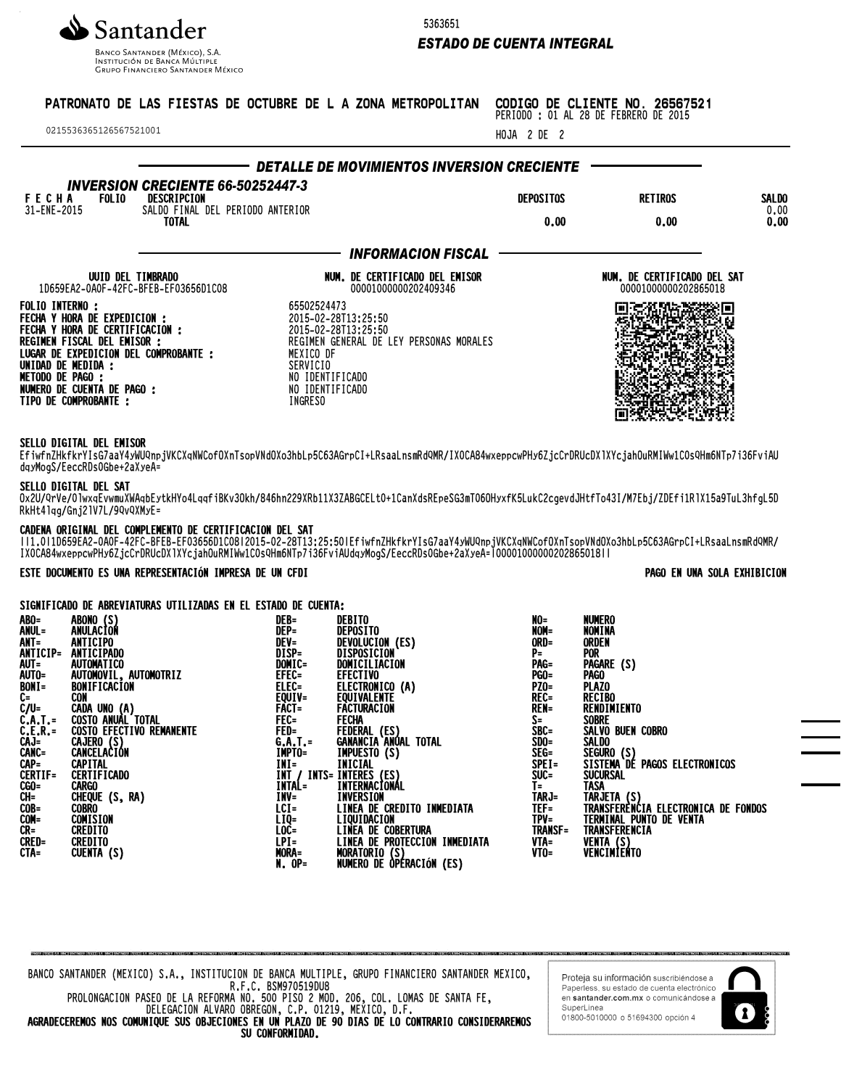

Banco Santander (México), S.A.<br>Institución de Banca Múltiple<br>Grupo Financiero Santander México

5363651

## *ESTADO DE CUENTA INTEGRAL*

| 0215536365126567521001                                                                                                                                                                                                                                                                                                                                   |                                                                 |                                                                                                         | PATRONATO DE LAS FIESTAS DE OCTUBRE DE L A ZONA METROPOLITAN                                                                                                                                                                               | HOJA 2 DE 2                                                                                                | CODIGO DE CLIENTE NO. 26567521<br>PERIODO : 01 AL 28 DE FEBRERO DE 2015                                                                                                                 |                              |
|----------------------------------------------------------------------------------------------------------------------------------------------------------------------------------------------------------------------------------------------------------------------------------------------------------------------------------------------------------|-----------------------------------------------------------------|---------------------------------------------------------------------------------------------------------|--------------------------------------------------------------------------------------------------------------------------------------------------------------------------------------------------------------------------------------------|------------------------------------------------------------------------------------------------------------|-----------------------------------------------------------------------------------------------------------------------------------------------------------------------------------------|------------------------------|
|                                                                                                                                                                                                                                                                                                                                                          | <b>INVERSION CRECIENTE 66-50252447-3</b>                        |                                                                                                         | DETALLE DE MOVIMIENTOS INVERSION CRECIENTE                                                                                                                                                                                                 |                                                                                                            |                                                                                                                                                                                         |                              |
| <b>F E C H A</b><br>31-ENE-2015<br><b>FOLIO</b>                                                                                                                                                                                                                                                                                                          | DESCRIPCION<br>SALDO FINAL DEL PERIODO ANTERIOR<br><b>TOTAL</b> |                                                                                                         |                                                                                                                                                                                                                                            | <b>DEPOSITOS</b><br>0.00                                                                                   | <b>RETIROS</b><br>0.00                                                                                                                                                                  | <b>SALDO</b><br>0.00<br>0.00 |
|                                                                                                                                                                                                                                                                                                                                                          |                                                                 |                                                                                                         | <b>INFORMACION FISCAL</b>                                                                                                                                                                                                                  |                                                                                                            |                                                                                                                                                                                         |                              |
|                                                                                                                                                                                                                                                                                                                                                          |                                                                 |                                                                                                         |                                                                                                                                                                                                                                            |                                                                                                            |                                                                                                                                                                                         |                              |
| UUID DEL TIMBRADO<br>1D659EA2-0A0F-42FC-BFEB-EF03656D1C08                                                                                                                                                                                                                                                                                                |                                                                 |                                                                                                         | NUM. DE CERTIFICADO DEL EMISOR<br>00001000000202409346                                                                                                                                                                                     |                                                                                                            | NUM. DE CERTIFICADO DEL SAT<br>00001000000202865018                                                                                                                                     |                              |
| <b>FOLIO INTERNO:</b><br>FECHA Y HORA DE EXPEDICION :<br>FECHA Y HORA DE CERTIFICACIÓN :<br>REGIMEN FISCAL DEL EMISOR :<br>LUGAR DE EXPEDICION DEL COMPROBANTE :<br>UNIDAD DE MEDIDA :<br><b>METODO DE PAGO :</b><br>NUMERO DE CUENTA DE PAGO :<br>TIPO DE COMPROBANTE :<br>SELLO DIGITAL DEL EMISOR<br>dqyMogS/EeccRDs0Gbe+2aXyeA=                      |                                                                 | 65502524473<br>MEXICO DF<br>SERVICIO<br>NO IDENTIFICADO<br>NO IDENTIFICADO<br>INGRESO                   | 2015-02-28T13:25:50<br>2015-02-28T13:25:50<br>REGIMEN GENERAL DE LEY PERSONAS MORALES<br>EfiwfnZHkfkrYIsG7aaY4yWUQnpjVKCXqNWCofOXnTsopVNdOXo3hbLp5C63AGrpCI+LRsaaLnsmRdQMR/IXOCA84wxeppcwPHy6ZjcCrDRUcDX1XYcjahOuRMIWw1COsQHm6NTp7i36FviAU |                                                                                                            |                                                                                                                                                                                         |                              |
| SELLO DIGITAL DEL SAT<br>RkHt41qg/Gnj21V7L/9QvQXMyE=                                                                                                                                                                                                                                                                                                     |                                                                 |                                                                                                         | 0x2U/QrVe/01wxqEvwmuXWAqbEytkHYo4LqqfiBKv30kh/846hn229XRb11X3ZABGCELt0+1CanXdsREpeSG3mT060HyxfK5LukC2cgevdJHtfTo43I/M7Ebj/ZDEfi1R1X15a9TuL3hfgL5D                                                                                          |                                                                                                            |                                                                                                                                                                                         |                              |
|                                                                                                                                                                                                                                                                                                                                                          | CADENA ORIGINAL DEL COMPLEMENTO DE CERTIFICACION DEL SAT        |                                                                                                         | TT1.0T1D659EA2-OAOF-42FC-BFEB-EF03656DIC08T2015-02-28T13:25:50TEfiwfnZHkfkrYIsG7aaY4yWUQnpjVKCXqNWCofOXnTsopVNdOXo3hbLp5C63AGrpCI+LRsaaLnsmRdQMR/<br>IXOCA84wxeppcwPHy6ZjcCrDRUcDX1XYcjahOuRMIWw1COsQHm6NTp7i36FviAUdqyMogS/EeccR          |                                                                                                            |                                                                                                                                                                                         |                              |
|                                                                                                                                                                                                                                                                                                                                                          | ESTE DOCUMENTO ES UNA REPRESENTACIÓN IMPRESA DE UN CFDI         |                                                                                                         |                                                                                                                                                                                                                                            |                                                                                                            |                                                                                                                                                                                         | PAGO EN UNA SOLA EXHIBICION  |
|                                                                                                                                                                                                                                                                                                                                                          | SIGNIFICADO DE ABREVIATURAS UTILIZADAS EN EL ESTADO DE CUENTA:  |                                                                                                         |                                                                                                                                                                                                                                            |                                                                                                            |                                                                                                                                                                                         |                              |
| $AB0=$<br>ABONO (S)<br>ANULACION<br>ANUL=<br>$ANT =$<br>ANTICIPO<br>ANTICIP= ANTICIPADO<br>AUT=<br>AUTOMATICO<br>AUTO=<br>AUTOMOVIL, AUTOMOTRIZ<br>BONIFICACION<br>BONI=<br><b>CON</b><br>C=<br>$\dot{C}/U=$<br>CADA UNO (A)<br>Costo <u>Anual To</u> tal<br>$C.A.T. =$<br><b>COSTO EFECTIVO REMANENTE</b><br>$C.E.R. =$<br><b>CA IEDA / CA</b><br>CA 1- |                                                                 | DEB=<br>$DEF =$<br>DEV=<br>DISP=<br>DOMIC=<br>EFEC=<br>ELEC=<br>EQUIV=<br>FACT=<br>FEC=<br>FED=<br>CAT- | <b>DEBITO</b><br><b>DEPOSITO</b><br>DEVOLUCION (ES)<br>DISPOSICION<br>DOMICILIACION<br><b>EFECTIVO</b><br>ÉLÉCTRONICO (A)<br>EQUIVALENTE<br>FACTURACION<br><b>FECHA</b><br>FEDERAL (ES)<br>CANANCIA ANGAL TOTAL                            | NO=<br>NOM=<br>ORD=<br>P=<br>PAG=<br><b>PGO=</b><br>$PZ0=$<br>$REC =$<br><b>REN=</b><br>S=<br>SBC=<br>CDO- | <b>NUMERO</b><br><b>NOMINA</b><br>ORDEN<br><b>POR</b><br>PAGARE (S)<br><b>PAGO</b><br><b>PLAZO</b><br><b>RECIBO</b><br><b>RENDIMIENTO</b><br><b>SOBRE</b><br>SALVO BUEN COBRO<br>CAI NO |                              |

| ABO=<br>ANT= ANTICIPO | ABONO (S)<br>ANUL= ANULACION                                                               | DEB=<br>$DEP =$<br>$DEV =$ | <b>DEBITO</b><br><b>DEPOSITO</b><br>DEVOLUCION (ES)                    |
|-----------------------|--------------------------------------------------------------------------------------------|----------------------------|------------------------------------------------------------------------|
|                       | ANTICIP= ANTICIPADO<br>AUT= AUTOMATICO                                                     | DISP=<br>DOMIC=            | DISPOSICION<br>DOMICILIACION                                           |
|                       |                                                                                            | $EFEC =$                   | <b>EFECTIVO</b>                                                        |
| BON I =               | AUTO= AUTOMOVIL, AUTOMOTRIZ<br>BONI= BONIFICACION<br>BONIFICACION                          |                            | ELEC= ELECTRONICO (A)<br>EQUIV= EQUIVALENTE                            |
| $C =$                 | CON                                                                                        |                            |                                                                        |
| C/U=                  | CADA UNO (A)                                                                               | $FACI =$                   | <b>FACTURACION</b>                                                     |
|                       | C.A.T.= COSTO ANUAL TOTAL<br>C.A.T.= COSTO ANUAL TOTAL<br>C.E.R.= COSTO EFECTIVO REMANENTE | FEC= FECHA                 |                                                                        |
|                       |                                                                                            |                            | FED= FEDERAL (ES)<br>G.A.T.= GANANCIA ANUAL TOTAL                      |
|                       | CAJ= CAJERO (S)<br>CANC= CANCELACION                                                       |                            | IMPTO= IMPUESTO (S)                                                    |
| $CAP =$               | <b>CAPITAL</b>                                                                             | $IMI =$                    | INICIAL                                                                |
| <b>CERTIF=</b>        | <b>CERTIFICADO</b>                                                                         |                            |                                                                        |
| $CGO=$                | <b>CARGO</b>                                                                               |                            | INT / INTS= INTERES (ES)<br>INTAL=      INTERNACIONAL<br>INTERNACIONAL |
| $CH =$                | CHEQUE (S, RA)                                                                             | INV= INVERSION             |                                                                        |
| COB=                  | <b>COBRO</b>                                                                               |                            | LCI= LINEA DE CREDITO INMEDIATA                                        |
| COM=                  | COMISION                                                                                   | $LIQ=$                     | LIQUIDACION                                                            |
| $CR =$<br>CRED=       | <b>CREDITO</b><br><b>CREDITO</b>                                                           |                            | LOC= LINEA DE COBERTURA<br>LPI= LINEA DE PROTECCION INMEDIATA          |
| CTA=                  | CUENTA (S)                                                                                 | MORA=                      | MORATORIO (S)                                                          |
|                       |                                                                                            | N. OP=                     | NUMERO DE ÒPÉRACIÓN (ES)                                               |

| nv-  | NVMLNU                              |
|------|-------------------------------------|
| NOM= | <b>NOMINA</b>                       |
| ORD= | <b>ORDEN</b>                        |
| PΞ   | <b>POR</b>                          |
| PAG= | PAGARE (S)                          |
| PGO= | PAGO                                |
| PZO= | <b>PLAZO</b>                        |
| REC= | <b>RECIBO</b>                       |
| REN= | RENDIMIENTO                         |
| S=   | <b>SOBRE</b>                        |
| SBC= | SALVO BUEN COBRO                    |
| SDO= | <b>SALDO</b>                        |
|      |                                     |
|      |                                     |
| SUC= | SUCURSAL                            |
| T=   | <b>TASA</b>                         |
|      | TARJ= TARJETA (S)                   |
| TEF= | TRANSFERÈNCIA ELECTRONICA DE FONDOS |
| TPV= | TERMINAL PUNTO DE VENTA             |
|      | TRANSF= TRANSFERENCIA               |
| VTA= | VENTA (S)                           |
| VTO= | VENCIMIENTO                         |
|      |                                     |

BANCO SANTANDER (MEXICO) S.A., INSTITUCION DE BANCA MULTIPLE, GRUPO FINANCIERO SANTANDER MEXICO, R.F.C. BSM970519DU8

PROLONGACION PASEO DE LA REFORMA NO. 500 PISO 2 MOD. 206, COL. LOMAS DE SANTA FE, DELEGACION ALVARO OBREGON, C.P. 01219, MEXICO, D.F.

AGRADECEREMOS NOS COMUNIQUE SUS OBJECIONES EN UN PLAZO DE 90 DIAS DE LO CONTRARIO CONSIDERAREMOS SU CONFORMIDAD.

Proteja su información suscribiendose a<br>Paperless, su estado de cuenta electrónico en santander.com.mx o comúnicándose a SuperLinea<br>01800-5010000 o 51694300 opción 4